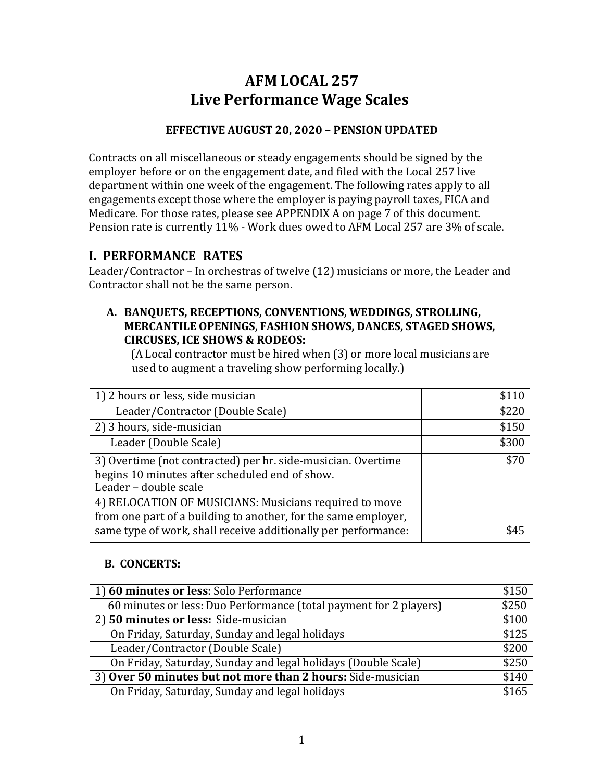# **AFM LOCAL 257 Live Performance Wage Scales**

## **EFFECTIVE AUGUST 20, 2020 – PENSION UPDATED**

Contracts on all miscellaneous or steady engagements should be signed by the employer before or on the engagement date, and filed with the Local 257 live department within one week of the engagement. The following rates apply to all engagements except those where the employer is paying payroll taxes, FICA and Medicare. For those rates, please see APPENDIX A on page 7 of this document. Pension rate is currently 11% - Work dues owed to AFM Local 257 are 3% of scale.

# **I. PERFORMANCE RATES**

Leader/Contractor – In orchestras of twelve (12) musicians or more, the Leader and Contractor shall not be the same person.

#### **A. BANQUETS, RECEPTIONS, CONVENTIONS, WEDDINGS, STROLLING, MERCANTILE OPENINGS, FASHION SHOWS, DANCES, STAGED SHOWS, CIRCUSES, ICE SHOWS & RODEOS:**

(A Local contractor must be hired when (3) or more local musicians are used to augment a traveling show performing locally.)

| 1) 2 hours or less, side musician                                                                                        | \$110 |
|--------------------------------------------------------------------------------------------------------------------------|-------|
| Leader/Contractor (Double Scale)                                                                                         | \$220 |
| 2) 3 hours, side-musician                                                                                                | \$150 |
| Leader (Double Scale)                                                                                                    | \$300 |
| 3) Overtime (not contracted) per hr. side-musician. Overtime<br>begins 10 minutes after scheduled end of show.           | \$70  |
| Leader - double scale                                                                                                    |       |
| 4) RELOCATION OF MUSICIANS: Musicians required to move<br>from one part of a building to another, for the same employer, |       |
| same type of work, shall receive additionally per performance:                                                           | ፍ45   |

## **B. CONCERTS:**

| 1) 60 minutes or less: Solo Performance                           | \$150 |
|-------------------------------------------------------------------|-------|
| 60 minutes or less: Duo Performance (total payment for 2 players) | \$250 |
| 2) 50 minutes or less: Side-musician                              | \$100 |
| On Friday, Saturday, Sunday and legal holidays                    | \$125 |
| Leader/Contractor (Double Scale)                                  | \$200 |
| On Friday, Saturday, Sunday and legal holidays (Double Scale)     | \$250 |
| 3) Over 50 minutes but not more than 2 hours: Side-musician       |       |
| On Friday, Saturday, Sunday and legal holidays                    | \$165 |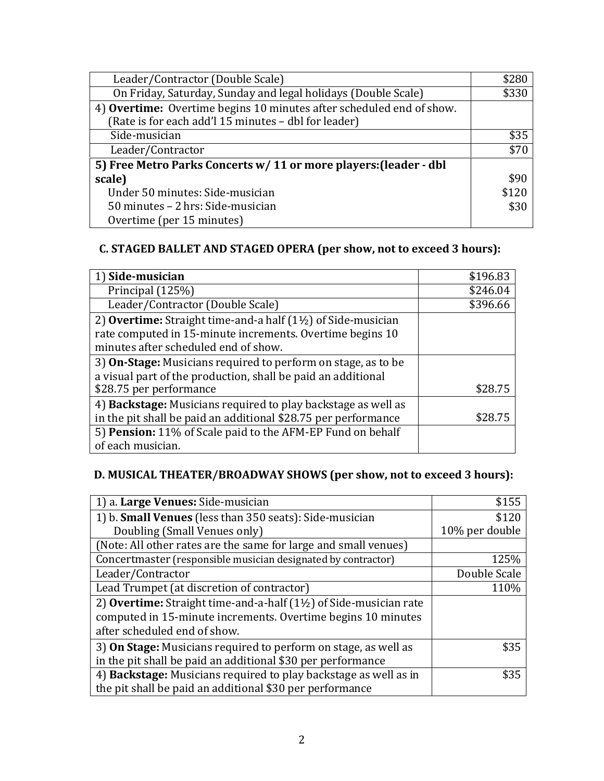| Leader/Contractor (Double Scale)                                                                                             | \$280 |
|------------------------------------------------------------------------------------------------------------------------------|-------|
| On Friday, Saturday, Sunday and legal holidays (Double Scale)                                                                | \$330 |
| 4) Overtime: Overtime begins 10 minutes after scheduled end of show.<br>(Rate is for each add'l 15 minutes - dbl for leader) |       |
| Side-musician                                                                                                                | \$35  |
| Leader/Contractor                                                                                                            | \$70  |
| 5) Free Metro Parks Concerts w/ 11 or more players: (leader - dbl                                                            |       |
| scale)                                                                                                                       | \$90  |
| Under 50 minutes: Side-musician                                                                                              | \$120 |
| 50 minutes - 2 hrs: Side-musician                                                                                            | \$30  |
| Overtime (per 15 minutes)                                                                                                    |       |

## **C. STAGED BALLET AND STAGED OPERA (per show, not to exceed 3 hours):**

| 1) Side-musician                                                        | \$196.83 |
|-------------------------------------------------------------------------|----------|
| Principal (125%)                                                        | \$246.04 |
| Leader/Contractor (Double Scale)                                        | \$396.66 |
| 2) Overtime: Straight time-and-a half $(1\frac{1}{2})$ of Side-musician |          |
| rate computed in 15-minute increments. Overtime begins 10               |          |
| minutes after scheduled end of show.                                    |          |
| 3) On-Stage: Musicians required to perform on stage, as to be           |          |
| a visual part of the production, shall be paid an additional            |          |
| \$28.75 per performance                                                 | \$28.75  |
| 4) Backstage: Musicians required to play backstage as well as           |          |
| in the pit shall be paid an additional \$28.75 per performance          | \$28.75  |
| 5) Pension: 11% of Scale paid to the AFM-EP Fund on behalf              |          |
| of each musician.                                                       |          |

# **D. MUSICAL THEATER/BROADWAY SHOWS (per show, not to exceed 3 hours):**

| 1) a. Large Venues: Side-musician                                            | \$155          |
|------------------------------------------------------------------------------|----------------|
| 1) b. <b>Small Venues</b> (less than 350 seats): Side-musician               | \$120          |
| Doubling (Small Venues only)                                                 | 10% per double |
| (Note: All other rates are the same for large and small venues)              |                |
| Concertmaster (responsible musician designated by contractor)                | 125%           |
| Leader/Contractor                                                            | Double Scale   |
| Lead Trumpet (at discretion of contractor)                                   | 110%           |
| 2) Overtime: Straight time-and-a-half $(1\frac{1}{2})$ of Side-musician rate |                |
| computed in 15-minute increments. Overtime begins 10 minutes                 |                |
| after scheduled end of show.                                                 |                |
| 3) On Stage: Musicians required to perform on stage, as well as              | \$35           |
| in the pit shall be paid an additional \$30 per performance                  |                |
| 4) Backstage: Musicians required to play backstage as well as in             | \$35           |
| the pit shall be paid an additional \$30 per performance                     |                |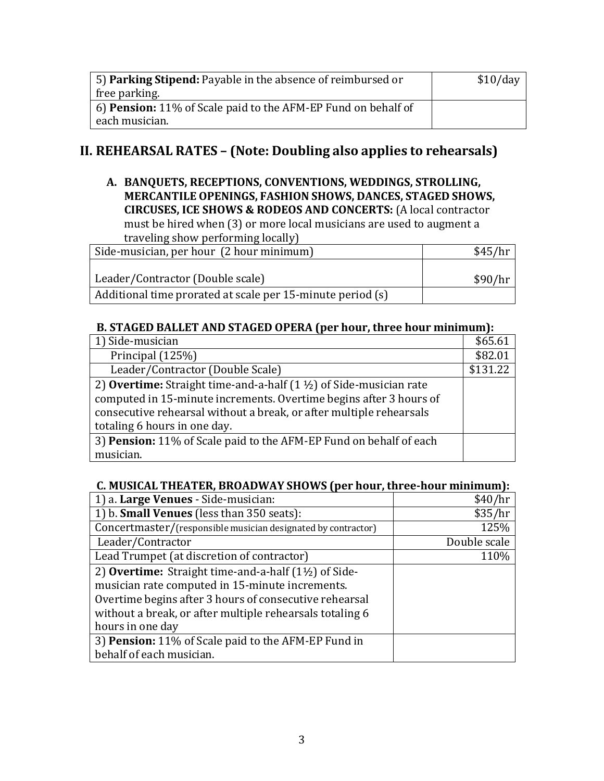| 5) Parking Stipend: Payable in the absence of reimbursed or          | \$10/day |
|----------------------------------------------------------------------|----------|
| free parking.                                                        |          |
| 6) <b>Pension:</b> 11% of Scale paid to the AFM-EP Fund on behalf of |          |
| each musician.                                                       |          |

# **II. REHEARSAL RATES – (Note: Doubling also applies to rehearsals)**

**A. BANQUETS, RECEPTIONS, CONVENTIONS, WEDDINGS, STROLLING, MERCANTILE OPENINGS, FASHION SHOWS, DANCES, STAGED SHOWS, CIRCUSES, ICE SHOWS & RODEOS AND CONCERTS:** (A local contractor must be hired when (3) or more local musicians are used to augment a traveling show performing locally)

| Side-musician, per hour (2 hour minimum)                   | \$45/hr |
|------------------------------------------------------------|---------|
| Leader/Contractor (Double scale)                           | \$90/hr |
| Additional time prorated at scale per 15-minute period (s) |         |

#### **B. STAGED BALLET AND STAGED OPERA (per hour, three hour minimum):**

| 1) Side-musician                                                                                                                                                                                                                                           | \$65.61  |
|------------------------------------------------------------------------------------------------------------------------------------------------------------------------------------------------------------------------------------------------------------|----------|
| Principal (125%)                                                                                                                                                                                                                                           | \$82.01  |
| Leader/Contractor (Double Scale)                                                                                                                                                                                                                           | \$131.22 |
| 2) Overtime: Straight time-and-a-half $(1 \frac{1}{2})$ of Side-musician rate<br>computed in 15-minute increments. Overtime begins after 3 hours of<br>consecutive rehearsal without a break, or after multiple rehearsals<br>totaling 6 hours in one day. |          |
| 3) Pension: 11% of Scale paid to the AFM-EP Fund on behalf of each                                                                                                                                                                                         |          |
| musician.                                                                                                                                                                                                                                                  |          |

#### **C. MUSICAL THEATER, BROADWAY SHOWS (per hour, three-hour minimum):**

| 1) a. Large Venues - Side-musician:                             |              |
|-----------------------------------------------------------------|--------------|
| 1) b. <b>Small Venues</b> (less than 350 seats):                | \$35/hr      |
| Concertmaster/(responsible musician designated by contractor)   | 125%         |
| Leader/Contractor                                               | Double scale |
| Lead Trumpet (at discretion of contractor)                      | 110%         |
| 2) Overtime: Straight time-and-a-half $(1\frac{1}{2})$ of Side- |              |
| musician rate computed in 15-minute increments.                 |              |
| Overtime begins after 3 hours of consecutive rehearsal          |              |
| without a break, or after multiple rehearsals totaling 6        |              |
| hours in one day                                                |              |
| 3) Pension: 11% of Scale paid to the AFM-EP Fund in             |              |
| behalf of each musician.                                        |              |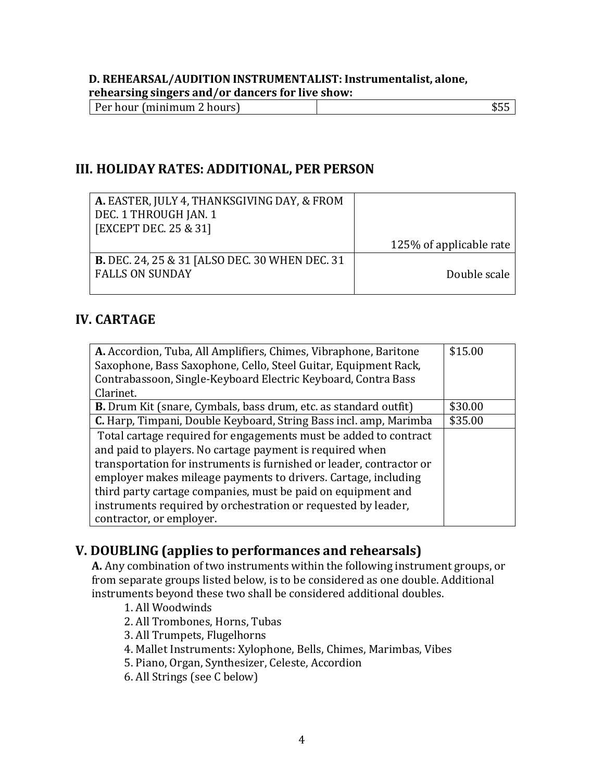### **D. REHEARSAL/AUDITION INSTRUMENTALIST: Instrumentalist, alone, rehearsing singers and/or dancers for live show:**

| Per hour (minimum 2 hours) |  |
|----------------------------|--|
|                            |  |

# **III. HOLIDAY RATES: ADDITIONAL, PER PERSON**

| A. EASTER, JULY 4, THANKSGIVING DAY, & FROM           |                         |
|-------------------------------------------------------|-------------------------|
| DEC. 1 THROUGH JAN. 1                                 |                         |
| [EXCEPT DEC. 25 & 31]                                 |                         |
|                                                       | 125% of applicable rate |
| <b>B.</b> DEC. 24, 25 & 31 [ALSO DEC. 30 WHEN DEC. 31 |                         |
| <b>FALLS ON SUNDAY</b>                                | Double scale            |
|                                                       |                         |

# **IV. CARTAGE**

| A. Accordion, Tuba, All Amplifiers, Chimes, Vibraphone, Baritone        | \$15.00 |
|-------------------------------------------------------------------------|---------|
| Saxophone, Bass Saxophone, Cello, Steel Guitar, Equipment Rack,         |         |
| Contrabassoon, Single-Keyboard Electric Keyboard, Contra Bass           |         |
| Clarinet.                                                               |         |
| <b>B.</b> Drum Kit (snare, Cymbals, bass drum, etc. as standard outfit) | \$30.00 |
| C. Harp, Timpani, Double Keyboard, String Bass incl. amp, Marimba       | \$35.00 |
| Total cartage required for engagements must be added to contract        |         |
| and paid to players. No cartage payment is required when                |         |
| transportation for instruments is furnished or leader, contractor or    |         |
| employer makes mileage payments to drivers. Cartage, including          |         |
| third party cartage companies, must be paid on equipment and            |         |
| instruments required by orchestration or requested by leader,           |         |
| contractor, or employer.                                                |         |

# **V. DOUBLING (applies to performances and rehearsals)**

**A.** Any combination of two instruments within the following instrument groups, or from separate groups listed below, is to be considered as one double. Additional instruments beyond these two shall be considered additional doubles.

- 1. All Woodwinds
- 2. All Trombones, Horns, Tubas
- 3. All Trumpets, Flugelhorns
- 4. Mallet Instruments: Xylophone, Bells, Chimes, Marimbas, Vibes
- 5. Piano, Organ, Synthesizer, Celeste, Accordion
- 6. All Strings (see C below)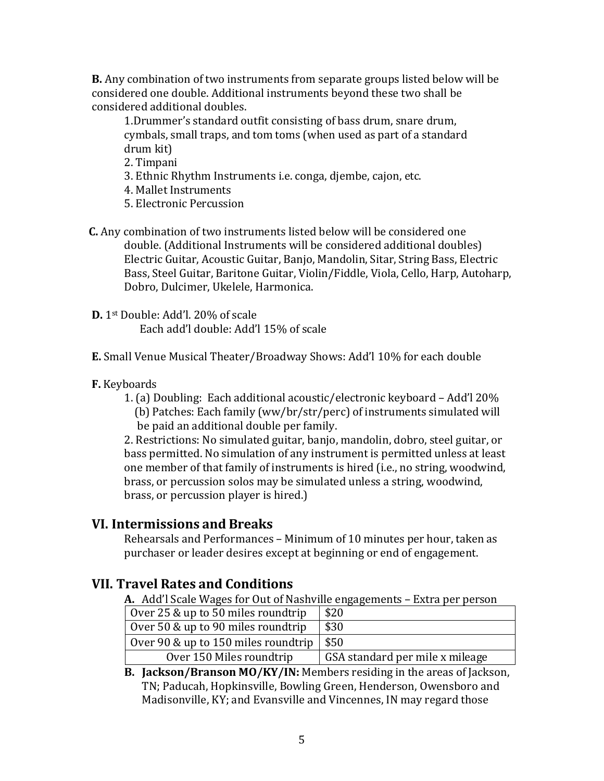**B.** Any combination of two instruments from separate groups listed below will be considered one double. Additional instruments beyond these two shall be considered additional doubles.

1.Drummer's standard outfit consisting of bass drum, snare drum, cymbals, small traps, and tom toms (when used as part of a standard drum kit)

2. Timpani

- 3. Ethnic Rhythm Instruments i.e. conga, djembe, cajon, etc.
- 4. Mallet Instruments
- 5. Electronic Percussion
- **C.** Any combination of two instruments listed below will be considered one double. (Additional Instruments will be considered additional doubles) Electric Guitar, Acoustic Guitar, Banjo, Mandolin, Sitar, String Bass, Electric Bass, Steel Guitar, Baritone Guitar, Violin/Fiddle, Viola, Cello, Harp, Autoharp, Dobro, Dulcimer, Ukelele, Harmonica.
- **D.** 1st Double: Add'l. 20% of scale Each add'l double: Add'l 15% of scale
- **E.** Small Venue Musical Theater/Broadway Shows: Add'l 10% for each double

#### **F.** Keyboards

1. (a) Doubling: Each additional acoustic/electronic keyboard – Add'l 20% (b) Patches: Each family (ww/br/str/perc) of instruments simulated will be paid an additional double per family.

2. Restrictions: No simulated guitar, banjo, mandolin, dobro, steel guitar, or bass permitted. No simulation of any instrument is permitted unless at least one member of that family of instruments is hired (i.e., no string, woodwind, brass, or percussion solos may be simulated unless a string, woodwind, brass, or percussion player is hired.)

## **VI. Intermissions and Breaks**

Rehearsals and Performances – Minimum of 10 minutes per hour, taken as purchaser or leader desires except at beginning or end of engagement.

## **VII. Travel Rates and Conditions**

**A.** Add'l Scale Wages for Out of Nashville engagements – Extra per person

| Over 25 & up to 50 miles roundtrip                 | \$20                            |
|----------------------------------------------------|---------------------------------|
| Over 50 & up to 90 miles roundtrip                 | \$30                            |
| Over 90 & up to 150 miles roundtrip $\frac{1}{50}$ |                                 |
| Over 150 Miles roundtrip                           | GSA standard per mile x mileage |

**B. Jackson/Branson MO/KY/IN:** Members residing in the areas of Jackson, TN; Paducah, Hopkinsville, Bowling Green, Henderson, Owensboro and Madisonville, KY; and Evansville and Vincennes, IN may regard those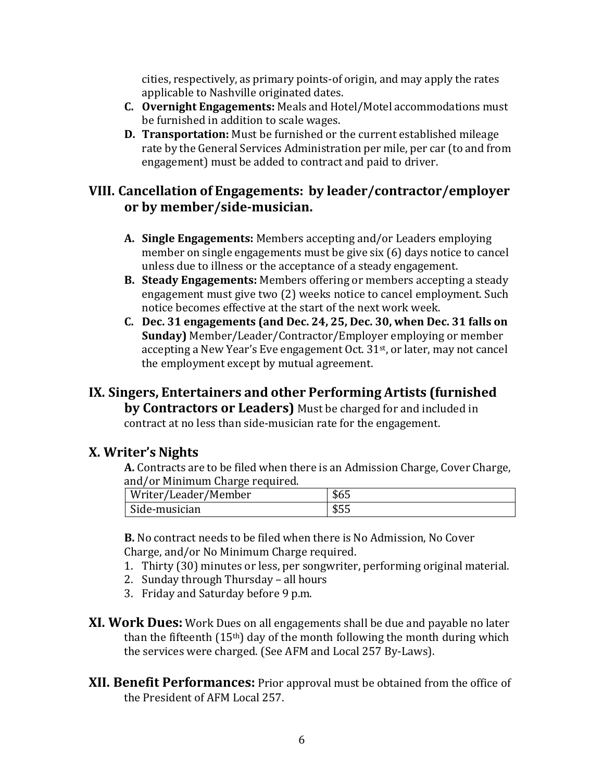cities, respectively, as primary points-of origin, and may apply the rates applicable to Nashville originated dates.

- **C. Overnight Engagements:** Meals and Hotel/Motel accommodations must be furnished in addition to scale wages.
- **D. Transportation:** Must be furnished or the current established mileage rate by the General Services Administration per mile, per car (to and from engagement) must be added to contract and paid to driver.

## **VIII. Cancellation of Engagements: by leader/contractor/employer or by member/side-musician.**

- **A. Single Engagements:** Members accepting and/or Leaders employing member on single engagements must be give six (6) days notice to cancel unless due to illness or the acceptance of a steady engagement.
- **B. Steady Engagements:** Members offering or members accepting a steady engagement must give two (2) weeks notice to cancel employment. Such notice becomes effective at the start of the next work week.
- **C. Dec. 31 engagements (and Dec. 24, 25, Dec. 30, when Dec. 31 falls on Sunday)** Member/Leader/Contractor/Employer employing or member accepting a New Year's Eve engagement Oct. 31st, or later, may not cancel the employment except by mutual agreement.

## **IX. Singers, Entertainers and other Performing Artists (furnished by Contractors or Leaders)** Must be charged for and included in contract at no less than side-musician rate for the engagement.

## **X. Writer's Nights**

**A.** Contracts are to be filed when there is an Admission Charge, Cover Charge, and/or Minimum Charge required.

| Writer/Leader/Member | \$65 |
|----------------------|------|
| Side-musician        | \$55 |

**B.** No contract needs to be filed when there is No Admission, No Cover Charge, and/or No Minimum Charge required.

- 1. Thirty (30) minutes or less, per songwriter, performing original material.
- 2. Sunday through Thursday all hours
- 3. Friday and Saturday before 9 p.m.
- **XI. Work Dues:** Work Dues on all engagements shall be due and payable no later than the fifteenth (15th) day of the month following the month during which the services were charged. (See AFM and Local 257 By-Laws).
- **XII. Benefit Performances:** Prior approval must be obtained from the office of the President of AFM Local 257.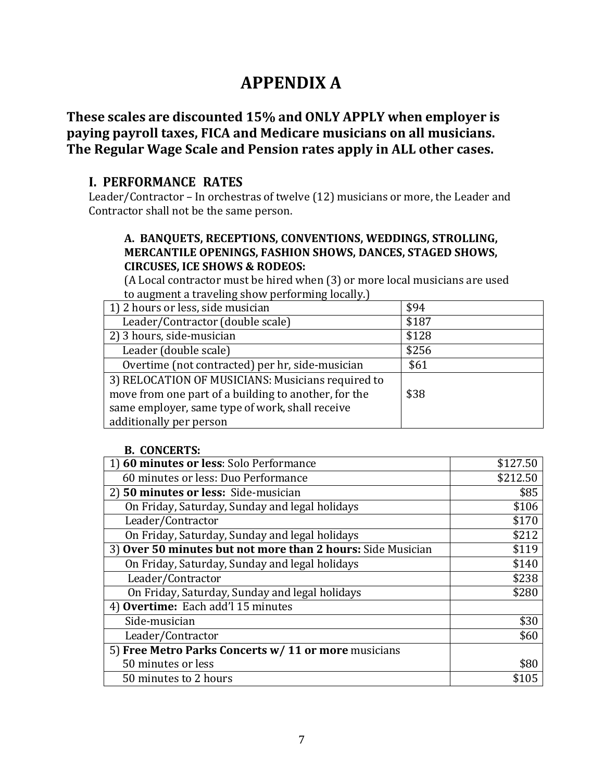# **APPENDIX A**

# **These scales are discounted 15% and ONLY APPLY when employer is paying payroll taxes, FICA and Medicare musicians on all musicians. The Regular Wage Scale and Pension rates apply in ALL other cases.**

## **I. PERFORMANCE RATES**

Leader/Contractor – In orchestras of twelve (12) musicians or more, the Leader and Contractor shall not be the same person.

#### **A. BANQUETS, RECEPTIONS, CONVENTIONS, WEDDINGS, STROLLING, MERCANTILE OPENINGS, FASHION SHOWS, DANCES, STAGED SHOWS, CIRCUSES, ICE SHOWS & RODEOS:**

(A Local contractor must be hired when (3) or more local musicians are used to augment a traveling show performing locally.)

| 1) 2 hours or less, side musician                                                                                                                                                       | \$94  |
|-----------------------------------------------------------------------------------------------------------------------------------------------------------------------------------------|-------|
| Leader/Contractor (double scale)                                                                                                                                                        | \$187 |
| 2) 3 hours, side-musician                                                                                                                                                               | \$128 |
| Leader (double scale)                                                                                                                                                                   | \$256 |
| Overtime (not contracted) per hr, side-musician                                                                                                                                         | \$61  |
| 3) RELOCATION OF MUSICIANS: Musicians required to<br>move from one part of a building to another, for the<br>same employer, same type of work, shall receive<br>additionally per person | \$38  |

#### **B. CONCERTS:**

| 60 minutes or less: Solo Performance                        | \$127.50 |
|-------------------------------------------------------------|----------|
| 60 minutes or less: Duo Performance                         | \$212.50 |
| 2) 50 minutes or less: Side-musician                        | \$85     |
| On Friday, Saturday, Sunday and legal holidays              | \$106    |
| Leader/Contractor                                           | \$170    |
| On Friday, Saturday, Sunday and legal holidays              | \$212    |
| 3) Over 50 minutes but not more than 2 hours: Side Musician | \$119    |
| On Friday, Saturday, Sunday and legal holidays              | \$140    |
| Leader/Contractor                                           | \$238    |
| On Friday, Saturday, Sunday and legal holidays              | \$280    |
| 4) Overtime: Each add'l 15 minutes                          |          |
| Side-musician                                               | \$30     |
| Leader/Contractor                                           | \$60     |
| 5) Free Metro Parks Concerts w/ 11 or more musicians        |          |
| 50 minutes or less                                          | \$80     |
| 50 minutes to 2 hours                                       |          |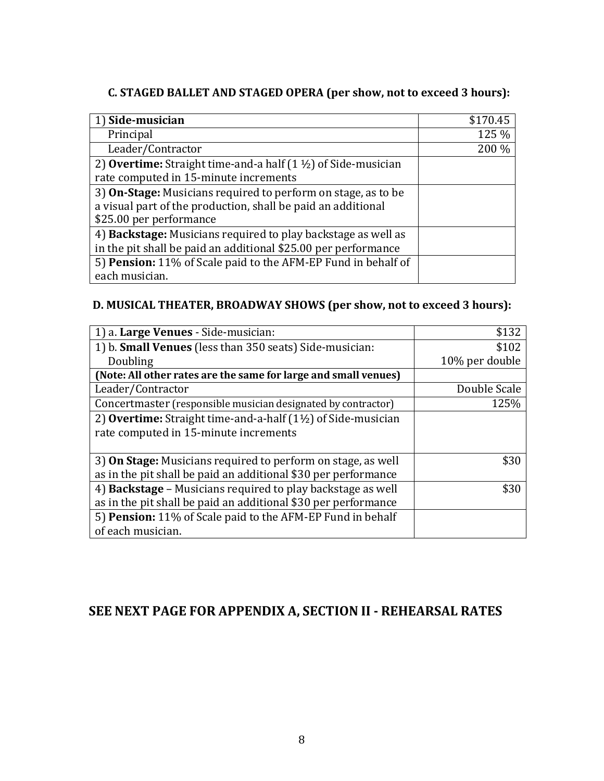## **C. STAGED BALLET AND STAGED OPERA (per show, not to exceed 3 hours):**

| 1) Side-musician                                                                | \$170.45 |
|---------------------------------------------------------------------------------|----------|
| Principal                                                                       | 125 %    |
| Leader/Contractor                                                               | 200 %    |
| 2) <b>Overtime:</b> Straight time-and-a half $(1 \frac{1}{2})$ of Side-musician |          |
| rate computed in 15-minute increments                                           |          |
| 3) On-Stage: Musicians required to perform on stage, as to be                   |          |
| a visual part of the production, shall be paid an additional                    |          |
| \$25.00 per performance                                                         |          |
| 4) Backstage: Musicians required to play backstage as well as                   |          |
| in the pit shall be paid an additional \$25.00 per performance                  |          |
| 5) Pension: 11% of Scale paid to the AFM-EP Fund in behalf of                   |          |
| each musician.                                                                  |          |

## **D. MUSICAL THEATER, BROADWAY SHOWS (per show, not to exceed 3 hours):**

| 1) a. Large Venues - Side-musician:                                     | \$132          |
|-------------------------------------------------------------------------|----------------|
| 1) b. <b>Small Venues</b> (less than 350 seats) Side-musician:          | \$102          |
| Doubling                                                                | 10% per double |
| (Note: All other rates are the same for large and small venues)         |                |
| Leader/Contractor                                                       | Double Scale   |
| Concertmaster (responsible musician designated by contractor)           | 125%           |
| 2) Overtime: Straight time-and-a-half $(1\frac{1}{2})$ of Side-musician |                |
| rate computed in 15-minute increments                                   |                |
|                                                                         |                |
| 3) On Stage: Musicians required to perform on stage, as well            | \$30           |
| as in the pit shall be paid an additional \$30 per performance          |                |
| 4) Backstage - Musicians required to play backstage as well             | \$30           |
| as in the pit shall be paid an additional \$30 per performance          |                |
| 5) Pension: 11% of Scale paid to the AFM-EP Fund in behalf              |                |
| of each musician.                                                       |                |

# **SEE NEXT PAGE FOR APPENDIX A, SECTION II - REHEARSAL RATES**